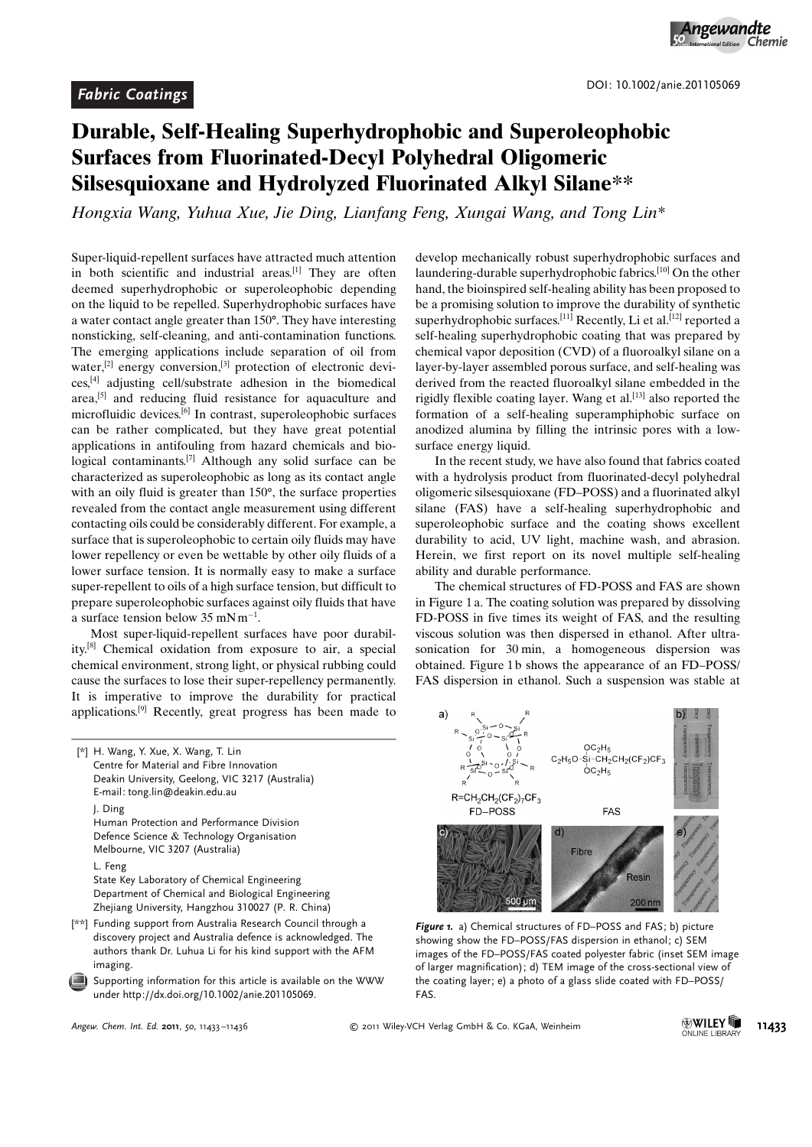## Durable, Self-Healing Superhydrophobic and Superoleophobic Surfaces from Fluorinated-Decyl Polyhedral Oligomeric Silsesquioxane and Hydrolyzed Fluorinated Alkyl Silane\*\*

Hongxia Wang, Yuhua Xue, Jie Ding, Lianfang Feng, Xungai Wang, and Tong Lin\*

Super-liquid-repellent surfaces have attracted much attention in both scientific and industrial areas.<sup>[1]</sup> They are often deemed superhydrophobic or superoleophobic depending on the liquid to be repelled. Superhydrophobic surfaces have a water contact angle greater than 150°. They have interesting nonsticking, self-cleaning, and anti-contamination functions. The emerging applications include separation of oil from water,<sup>[2]</sup> energy conversion,<sup>[3]</sup> protection of electronic devi $c$ es,<sup>[4]</sup> adjusting cell/substrate adhesion in the biomedical area,[5] and reducing fluid resistance for aquaculture and microfluidic devices.[6] In contrast, superoleophobic surfaces can be rather complicated, but they have great potential applications in antifouling from hazard chemicals and biological contaminants.<sup>[7]</sup> Although any solid surface can be characterized as superoleophobic as long as its contact angle with an oily fluid is greater than 150°, the surface properties revealed from the contact angle measurement using different contacting oils could be considerably different. For example, a surface that is superoleophobic to certain oily fluids may have lower repellency or even be wettable by other oily fluids of a lower surface tension. It is normally easy to make a surface super-repellent to oils of a high surface tension, but difficult to prepare superoleophobic surfaces against oily fluids that have a surface tension below  $35 \text{ mN m}^{-1}$ .

Most super-liquid-repellent surfaces have poor durability.[8] Chemical oxidation from exposure to air, a special chemical environment, strong light, or physical rubbing could cause the surfaces to lose their super-repellency permanently. It is imperative to improve the durability for practical applications.[9] Recently, great progress has been made to

[\*] H. Wang, Y. Xue, X. Wang, T. Lin Centre for Material and Fibre Innovation Deakin University, Geelong, VIC 3217 (Australia) E-mail: tong.lin@deakin.edu.au J. Ding Human Protection and Performance Division Defence Science & Technology Organisation Melbourne, VIC 3207 (Australia) L. Feng State Key Laboratory of Chemical Engineering Department of Chemical and Biological Engineering Zhejiang University, Hangzhou 310027 (P. R. China)

- [\*\*] Funding support from Australia Research Council through a discovery project and Australia defence is acknowledged. The authors thank Dr. Luhua Li for his kind support with the AFM imaging.
	- Supporting information for this article is available on the WWW under<http://dx.doi.org/10.1002/anie.201105069>.

develop mechanically robust superhydrophobic surfaces and laundering-durable superhydrophobic fabrics.[10] On the other hand, the bioinspired self-healing ability has been proposed to be a promising solution to improve the durability of synthetic superhydrophobic surfaces.<sup>[11]</sup> Recently, Li et al.<sup>[12]</sup> reported a self-healing superhydrophobic coating that was prepared by chemical vapor deposition (CVD) of a fluoroalkyl silane on a layer-by-layer assembled porous surface, and self-healing was derived from the reacted fluoroalkyl silane embedded in the rigidly flexible coating layer. Wang et al. $[13]$  also reported the formation of a self-healing superamphiphobic surface on anodized alumina by filling the intrinsic pores with a lowsurface energy liquid.

In the recent study, we have also found that fabrics coated with a hydrolysis product from fluorinated-decyl polyhedral oligomeric silsesquioxane (FD–POSS) and a fluorinated alkyl silane (FAS) have a self-healing superhydrophobic and superoleophobic surface and the coating shows excellent durability to acid, UV light, machine wash, and abrasion. Herein, we first report on its novel multiple self-healing ability and durable performance.

The chemical structures of FD-POSS and FAS are shown in Figure 1 a. The coating solution was prepared by dissolving FD-POSS in five times its weight of FAS, and the resulting viscous solution was then dispersed in ethanol. After ultrasonication for 30 min, a homogeneous dispersion was obtained. Figure 1 b shows the appearance of an FD–POSS/ FAS dispersion in ethanol. Such a suspension was stable at



Figure 1. a) Chemical structures of FD–POSS and FAS; b) picture showing show the FD–POSS/FAS dispersion in ethanol; c) SEM images of the FD–POSS/FAS coated polyester fabric (inset SEM image of larger magnification); d) TEM image of the cross-sectional view of the coating layer; e) a photo of a glass slide coated with FD–POSS/ FAS.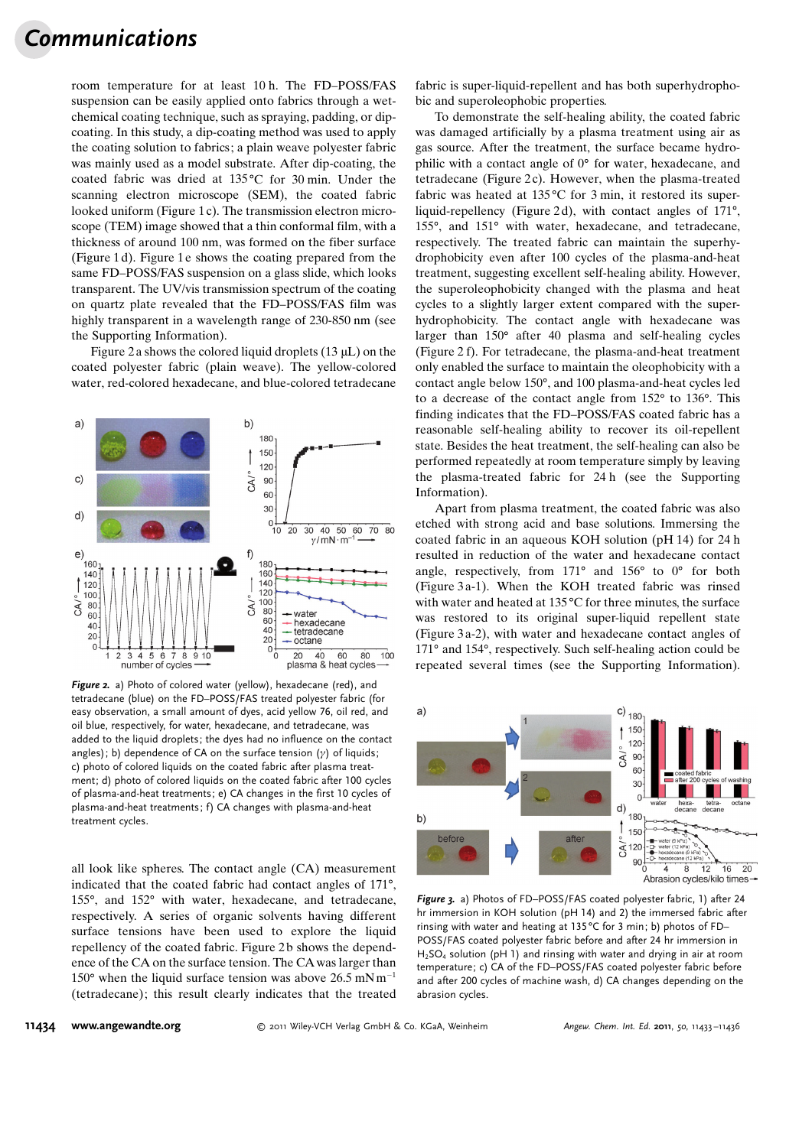## Communications

room temperature for at least 10 h. The FD–POSS/FAS suspension can be easily applied onto fabrics through a wetchemical coating technique, such as spraying, padding, or dipcoating. In this study, a dip-coating method was used to apply the coating solution to fabrics; a plain weave polyester fabric was mainly used as a model substrate. After dip-coating, the coated fabric was dried at  $135^{\circ}$ C for 30 min. Under the scanning electron microscope (SEM), the coated fabric looked uniform (Figure 1c). The transmission electron microscope (TEM) image showed that a thin conformal film, with a thickness of around 100 nm, was formed on the fiber surface (Figure 1 d). Figure 1 e shows the coating prepared from the same FD–POSS/FAS suspension on a glass slide, which looks transparent. The UV/vis transmission spectrum of the coating on quartz plate revealed that the FD–POSS/FAS film was highly transparent in a wavelength range of 230-850 nm (see the Supporting Information).

Figure 2 a shows the colored liquid droplets  $(13 \mu L)$  on the coated polyester fabric (plain weave). The yellow-colored water, red-colored hexadecane, and blue-colored tetradecane



Figure 2. a) Photo of colored water (yellow), hexadecane (red), and tetradecane (blue) on the FD–POSS/FAS treated polyester fabric (for easy observation, a small amount of dyes, acid yellow 76, oil red, and oil blue, respectively, for water, hexadecane, and tetradecane, was added to the liquid droplets; the dyes had no influence on the contact angles); b) dependence of CA on the surface tension  $(y)$  of liquids; c) photo of colored liquids on the coated fabric after plasma treatment; d) photo of colored liquids on the coated fabric after 100 cycles of plasma-and-heat treatments; e) CA changes in the first 10 cycles of plasma-and-heat treatments; f) CA changes with plasma-and-heat treatment cycles.

all look like spheres. The contact angle (CA) measurement indicated that the coated fabric had contact angles of 171°, 155°, and 152° with water, hexadecane, and tetradecane, respectively. A series of organic solvents having different surface tensions have been used to explore the liquid repellency of the coated fabric. Figure 2b shows the dependence of the CA on the surface tension. The CA was larger than 150° when the liquid surface tension was above 26.5 mNm<sup>-1</sup> (tetradecane); this result clearly indicates that the treated

fabric is super-liquid-repellent and has both superhydrophobic and superoleophobic properties.

To demonstrate the self-healing ability, the coated fabric was damaged artificially by a plasma treatment using air as gas source. After the treatment, the surface became hydrophilic with a contact angle of  $0^{\circ}$  for water, hexadecane, and tetradecane (Figure 2 $c$ ). However, when the plasma-treated fabric was heated at  $135^{\circ}$ C for 3 min, it restored its superliquid-repellency (Figure 2d), with contact angles of 171°, 155°, and 151° with water, hexadecane, and tetradecane, respectively. The treated fabric can maintain the superhydrophobicity even after 100 cycles of the plasma-and-heat treatment, suggesting excellent self-healing ability. However, the superoleophobicity changed with the plasma and heat cycles to a slightly larger extent compared with the superhydrophobicity. The contact angle with hexadecane was larger than 150° after 40 plasma and self-healing cycles (Figure 2 f). For tetradecane, the plasma-and-heat treatment only enabled the surface to maintain the oleophobicity with a contact angle below 150°, and 100 plasma-and-heat cycles led to a decrease of the contact angle from  $152^{\circ}$  to  $136^{\circ}$ . This finding indicates that the FD–POSS/FAS coated fabric has a reasonable self-healing ability to recover its oil-repellent state. Besides the heat treatment, the self-healing can also be performed repeatedly at room temperature simply by leaving the plasma-treated fabric for 24 h (see the Supporting Information).

Apart from plasma treatment, the coated fabric was also etched with strong acid and base solutions. Immersing the coated fabric in an aqueous KOH solution (pH 14) for 24 h resulted in reduction of the water and hexadecane contact angle, respectively, from  $171^\circ$  and  $156^\circ$  to  $0^\circ$  for both (Figure 3 a-1). When the KOH treated fabric was rinsed with water and heated at  $135^{\circ}$ C for three minutes, the surface was restored to its original super-liquid repellent state (Figure 3 a-2), with water and hexadecane contact angles of 171<sup>°</sup> and 154<sup>°</sup>, respectively. Such self-healing action could be repeated several times (see the Supporting Information).



Figure 3. a) Photos of FD–POSS/FAS coated polyester fabric, 1) after 24 hr immersion in KOH solution (pH 14) and 2) the immersed fabric after rinsing with water and heating at 135 °C for 3 min; b) photos of FD-POSS/FAS coated polyester fabric before and after 24 hr immersion in  $H<sub>2</sub>SO<sub>4</sub>$  solution (pH 1) and rinsing with water and drying in air at room temperature; c) CA of the FD–POSS/FAS coated polyester fabric before and after 200 cycles of machine wash, d) CA changes depending on the abrasion cycles.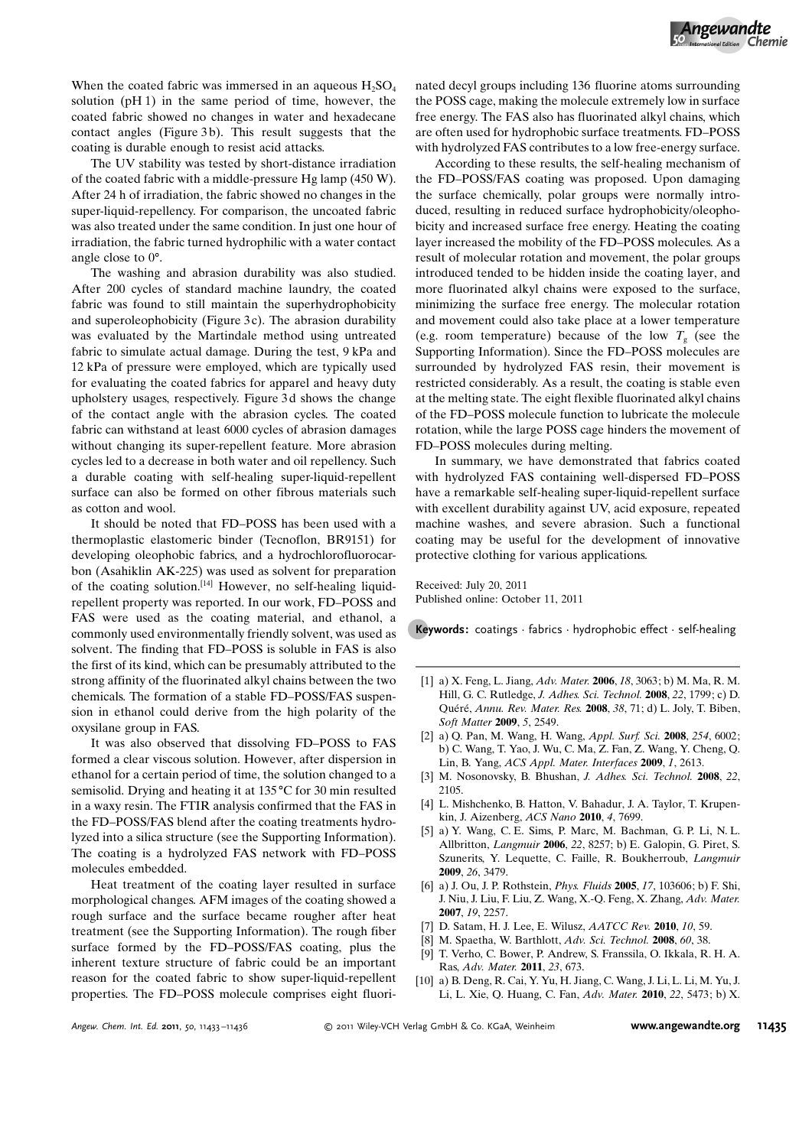When the coated fabric was immersed in an aqueous  $H_2SO_4$ solution (pH 1) in the same period of time, however, the coated fabric showed no changes in water and hexadecane contact angles (Figure 3b). This result suggests that the coating is durable enough to resist acid attacks.

The UV stability was tested by short-distance irradiation of the coated fabric with a middle-pressure Hg lamp (450 W). After 24 h of irradiation, the fabric showed no changes in the super-liquid-repellency. For comparison, the uncoated fabric was also treated under the same condition. In just one hour of irradiation, the fabric turned hydrophilic with a water contact angle close to  $0^\circ$ .

The washing and abrasion durability was also studied. After 200 cycles of standard machine laundry, the coated fabric was found to still maintain the superhydrophobicity and superoleophobicity (Figure 3c). The abrasion durability was evaluated by the Martindale method using untreated fabric to simulate actual damage. During the test, 9 kPa and 12 kPa of pressure were employed, which are typically used for evaluating the coated fabrics for apparel and heavy duty upholstery usages, respectively. Figure 3 d shows the change of the contact angle with the abrasion cycles. The coated fabric can withstand at least 6000 cycles of abrasion damages without changing its super-repellent feature. More abrasion cycles led to a decrease in both water and oil repellency. Such a durable coating with self-healing super-liquid-repellent surface can also be formed on other fibrous materials such as cotton and wool.

It should be noted that FD–POSS has been used with a thermoplastic elastomeric binder (Tecnoflon, BR9151) for developing oleophobic fabrics, and a hydrochlorofluorocarbon (Asahiklin AK-225) was used as solvent for preparation of the coating solution.<sup>[14]</sup> However, no self-healing liquidrepellent property was reported. In our work, FD–POSS and FAS were used as the coating material, and ethanol, a commonly used environmentally friendly solvent, was used as solvent. The finding that FD–POSS is soluble in FAS is also the first of its kind, which can be presumably attributed to the strong affinity of the fluorinated alkyl chains between the two chemicals. The formation of a stable FD–POSS/FAS suspension in ethanol could derive from the high polarity of the oxysilane group in FAS.

It was also observed that dissolving FD–POSS to FAS formed a clear viscous solution. However, after dispersion in ethanol for a certain period of time, the solution changed to a semisolid. Drying and heating it at 135 °C for 30 min resulted in a waxy resin. The FTIR analysis confirmed that the FAS in the FD–POSS/FAS blend after the coating treatments hydrolyzed into a silica structure (see the Supporting Information). The coating is a hydrolyzed FAS network with FD–POSS molecules embedded.

Heat treatment of the coating layer resulted in surface morphological changes. AFM images of the coating showed a rough surface and the surface became rougher after heat treatment (see the Supporting Information). The rough fiber surface formed by the FD–POSS/FAS coating, plus the inherent texture structure of fabric could be an important reason for the coated fabric to show super-liquid-repellent properties. The FD–POSS molecule comprises eight fluori-

nated decyl groups including 136 fluorine atoms surrounding the POSS cage, making the molecule extremely low in surface free energy. The FAS also has fluorinated alkyl chains, which are often used for hydrophobic surface treatments. FD–POSS with hydrolyzed FAS contributes to a low free-energy surface.

According to these results, the self-healing mechanism of the FD–POSS/FAS coating was proposed. Upon damaging the surface chemically, polar groups were normally introduced, resulting in reduced surface hydrophobicity/oleophobicity and increased surface free energy. Heating the coating layer increased the mobility of the FD–POSS molecules. As a result of molecular rotation and movement, the polar groups introduced tended to be hidden inside the coating layer, and more fluorinated alkyl chains were exposed to the surface, minimizing the surface free energy. The molecular rotation and movement could also take place at a lower temperature (e.g. room temperature) because of the low  $T<sub>g</sub>$  (see the Supporting Information). Since the FD–POSS molecules are surrounded by hydrolyzed FAS resin, their movement is restricted considerably. As a result, the coating is stable even at the melting state. The eight flexible fluorinated alkyl chains of the FD–POSS molecule function to lubricate the molecule rotation, while the large POSS cage hinders the movement of FD–POSS molecules during melting.

In summary, we have demonstrated that fabrics coated with hydrolyzed FAS containing well-dispersed FD–POSS have a remarkable self-healing super-liquid-repellent surface with excellent durability against UV, acid exposure, repeated machine washes, and severe abrasion. Such a functional coating may be useful for the development of innovative protective clothing for various applications.

Received: July 20, 2011 Published online: October 11, 2011

.Keywords: coatings · fabrics · hydrophobic effect · self-healing

- [1] a) X. Feng, L. Jiang, [Adv. Mater.](http://dx.doi.org/10.1002/adma.200501961) 2006, 18, 3063; b) M. Ma, R. M. Hill, G. C. Rutledge, J. Adhes. Sci. Technol. 2008, 22, 1799; c) D. Quéré, Annu. Rev. Mater. Res. 2008, 38, 71; d) L. Joly, T. Biben, Soft Matter 2009, 5, 2549.
- [2] a) Q. Pan, M. Wang, H. Wang, [Appl. Surf. Sci.](http://dx.doi.org/10.1016/j.apsusc.2008.03.034) 2008, 254, 6002; b) C. Wang, T. Yao, J. Wu, C. Ma, Z. Fan, Z. Wang, Y. Cheng, Q. Lin, B. Yang, [ACS Appl. Mater. Interfaces](http://dx.doi.org/10.1021/am900520z) 2009, 1, 2613.
- [3] M. Nosonovsky, B. Bhushan, J. Adhes. Sci. Technol. 2008, 22, 2105.
- [4] L. Mishchenko, B. Hatton, V. Bahadur, J. A. Taylor, T. Krupenkin, J. Aizenberg, [ACS Nano](http://dx.doi.org/10.1021/nn102557p) 2010, 4, 7699.
- [5] a) Y. Wang, C. E. Sims, P. Marc, M. Bachman, G. P. Li, N. L. Allbritton, [Langmuir](http://dx.doi.org/10.1021/la061602k) 2006, 22, 8257; b) E. Galopin, G. Piret, S. Szunerits, Y. Lequette, C. Faille, R. Boukherroub, Langmuir 2009, 26, 3479.
- [6] a) J. Ou, J. P. Rothstein, [Phys. Fluids](http://dx.doi.org/10.1063/1.2109867) 2005, 17, 103606; b) F. Shi, J. Niu, J. Liu, F. Liu, Z. Wang, X.-Q. Feng, X. Zhang, [Adv. Mater.](http://dx.doi.org/10.1002/adma.200700752) 2007, 19[, 2257.](http://dx.doi.org/10.1002/adma.200700752)
- [7] D. Satam, H. J. Lee, E. Wilusz, AATCC Rev. 2010, 10, 59.
- [8] M. Spaetha, W. Barthlott, [Adv. Sci. Technol.](http://dx.doi.org/10.4028/www.scientific.net/AST.60.38) 2008, 60, 38.
- [9] T. Verho, C. Bower, P. Andrew, S. Franssila, O. Ikkala, R. H. A. Ras, [Adv. Mater.](http://dx.doi.org/10.1002/adma.201003129) 2011, 23, 673.
- [10] a) B. Deng, R. Cai, Y. Yu, H. Jiang, C. Wang, J. Li, L. Li, M. Yu, J. Li, L. Xie, Q. Huang, C. Fan, [Adv. Mater.](http://dx.doi.org/10.1002/adma.201002614) 2010, 22, 5473; b) X.